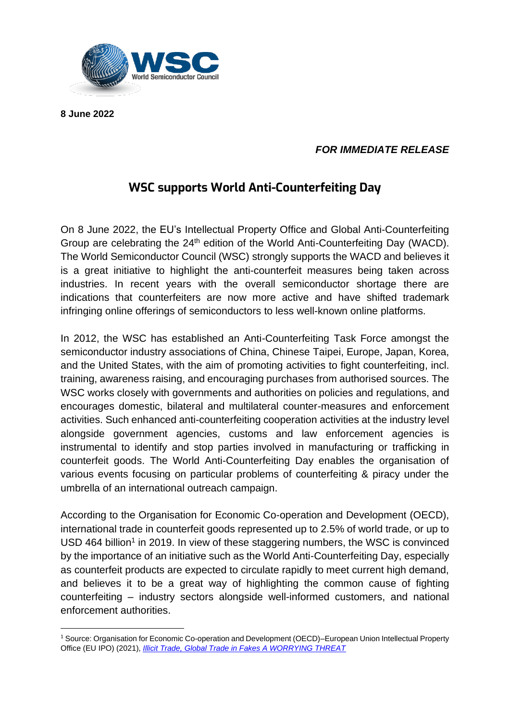

**8 June 2022**

## *FOR IMMEDIATE RELEASE*

## **WSC supports World Anti-Counterfeiting Day**

On 8 June 2022, the EU's Intellectual Property Office and Global Anti-Counterfeiting Group are celebrating the 24<sup>th</sup> edition of the World Anti-Counterfeiting Day (WACD). The World Semiconductor Council (WSC) strongly supports the WACD and believes it is a great initiative to highlight the anti-counterfeit measures being taken across industries. In recent years with the overall semiconductor shortage there are indications that counterfeiters are now more active and have shifted trademark infringing online offerings of semiconductors to less well-known online platforms.

In 2012, the WSC has established an Anti-Counterfeiting Task Force amongst the semiconductor industry associations of China, Chinese Taipei, Europe, Japan, Korea, and the United States, with the aim of promoting activities to fight counterfeiting, incl. training, awareness raising, and encouraging purchases from authorised sources. The WSC works closely with governments and authorities on policies and regulations, and encourages domestic, bilateral and multilateral counter-measures and enforcement activities. Such enhanced anti-counterfeiting cooperation activities at the industry level alongside government agencies, customs and law enforcement agencies is instrumental to identify and stop parties involved in manufacturing or trafficking in counterfeit goods. The World Anti-Counterfeiting Day enables the organisation of various events focusing on particular problems of counterfeiting & piracy under the umbrella of an international outreach campaign.

According to the Organisation for Economic Co-operation and Development (OECD), international trade in counterfeit goods represented up to 2.5% of world trade, or up to USD 464 billion<sup>1</sup> in 2019. In view of these staggering numbers, the WSC is convinced by the importance of an initiative such as the World Anti-Counterfeiting Day, especially as counterfeit products are expected to circulate rapidly to meet current high demand, and believes it to be a great way of highlighting the common cause of fighting counterfeiting – industry sectors alongside well-informed customers, and national enforcement authorities.

<sup>1</sup> Source: Organisation for Economic Co-operation and Development (OECD)–European Union Intellectual Property Office (EU IPO) (2021), *[Illicit Trade, Global Trade in Fakes A WORRYING THREAT](https://euipo.europa.eu/tunnel-web/secure/webdav/guest/document_library/observatory/documents/reports/2021_EUIPO_OECD_Report_Fakes/2021_EUIPO_OECD_Trate_Fakes_Study_FullR_en.pdf)*